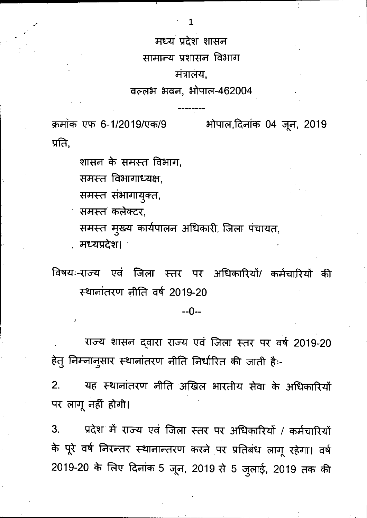मध्य प्रदेश शासन

सामान्य प्रशासन विभाग

### मंत्रालय,

## वल्लभ भवन, भोपाल-462004

क्रमांक एफ 6-1/2019/एक/9 प्रति,

भोपाल,दिनांक 04 जून, 2019

शासन के समस्त विभाग,

समस्त विभागाध्यक्ष,

समस्त संभागायुक्त,

समस्त कलेक्टर.

समस्त मुख्य कार्यपालन अधिकारी, जिला पंचायत, मध्यप्रदेश।

विषयः-राज्य एवं जिला स्तर पर अधिकारियों/ कर्मचारियों की स्थानांतरण नीति वर्ष 2019-20

 $-0-$ 

राज्य शासन दवारा राज्य एवं जिला स्तर पर वर्ष 2019-20 हेतु निम्नानुसार स्थानांतरण नीति निर्धारित की जाती हैः-

यह स्थानांतरण नीति अखिल भारतीय सेवा के अधिकारियों  $2.$ पर लागू नहीं होगी।

प्रदेश में राज्य एवं जिला स्तर पर अधिकारियों / कर्मचारियों 3. के पूरे वर्ष निरन्तर स्थानान्तरण करने पर प्रतिबंध लागू रहेगा। वर्ष 2019-20 के लिए दिनांक 5 जून, 2019 से 5 जुलाई, 2019 तक की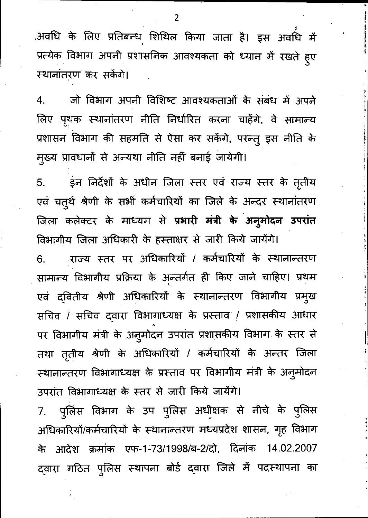,अवधि के लिए प्रतिबन्ध शिथिल किया जाता है। इस अवधि में प्रत्येक विभाग अपनी प्रशासनिक आवश्यकता को ध्यान में रखते हुए स्थानांतरण कर सकेंगे।

जो विभाग अपनी विशिष्ट आवश्यकताओं के संबंध में अपने  $\mathbf{4}$ . लिए पृथक स्थानांतरण नीति निर्धारित करना चाहेंगे, वे सामान्य प्रशासन विभाग की सहमति से ऐसा कर सकेंगे, परन्तु इस नीति के मुख्य प्रावधानों से अन्यथा नीति नहीं बनाई जायेगी।

इन निर्देशों के अधीन जिला स्तर एवं राज्य स्तर के तृतीय  $5<sub>1</sub>$ एवं चतुर्थ श्रेणी के सभी कर्मचारियों का जिले के अन्दर स्थानांतरण जिला कलेक्टर के माध्यम से प्रभारी मंत्री के अनुमोदन उपरांत विभागीय जिला अधिकारी के हस्ताक्षर से जारी किये जायेंगे।

राज्य स्तर पर अधिकारियों / कर्मचारियों के स्थानान्तरण 6. सामान्य विभागीय प्रक्रिया के अन्तर्गत ही किए जाने चाहिए। प्रथम एवं दवितीय श्रेणी अधिकारियों के स्थानान्तरण विभागीय प्रमुख सचिव / सचिव दवारा विभागाध्यक्ष के प्रस्ताव / प्रशासकीय आधार पर विभागीय मंत्री के अनुमोदन उपरांत प्रशासकीय विभाग के स्तर से तथा तृतीय श्रेणी के अधिकारियों / कर्मचारियों के अन्तर जिला स्थानान्तरण विभागाध्यक्ष के प्रस्ताव पर विभागीय मंत्री के अनुमोदन उपरांत विभागाध्यक्ष के स्तर से जारी किये जायेंगे।

पुलिस विभाग के उप पुलिस अधीक्षक से नीचे के पुलिस  $7.$ अधिकारियों/कर्मचारियों के स्थानान्तरण मध्यप्रदेश शासन, गृह विभाग के आदेश क्रमांक एफ-1-73/1998/ब-2/दो, दिनांक 14.02.2007 द्वारा गठित पुलिस स्थापना बोर्ड द्वारा जिले में पदस्थापना का

 $\overline{2}$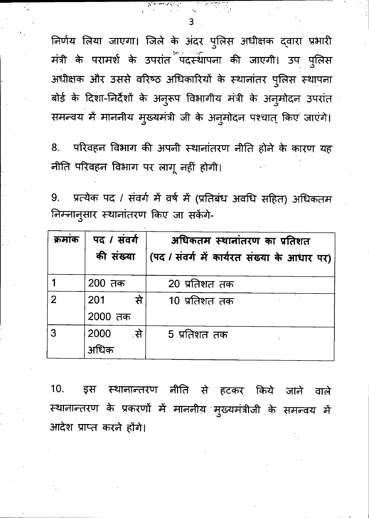निर्णय लिया जाएगा। जिले के अंदर पुलिस अधीक्षक दवारा प्रभारी मंत्री के परामर्श के उपरांत<sup>ें प</sup>दस्थापना की जाएगी। उप पुलिस अधीक्षक और उससे वरिष्ठ अधिकारियों के स्थानांतर पुलिस स्थापना बोर्ड के दिशा-निर्देशों के अनुरूप विभागीय मंत्री के अनुमोदन उपरांत समन्वय में माननीय मुख्यमंत्री जी के अनुमोदन पश्चात् किए जाएंगे।

परिवहन विभाग की अपनी स्थानांतरण नीति होने के कारण यह 8. नीति परिवहन विभाग पर लागू नहीं होगी।

प्रत्येक पद / संवर्ग में वर्ष में (प्रतिबंध अवधि सहित) अधिकतम 9. निम्नानुसार स्थानांतरण किए जा सकेंगे-

| क्रमाक         | पद / संवर्ग<br>की संख्या | अधिकतम स्थानांतरण का प्रतिशत<br>(पद / संवर्ग में कार्यरत संख्या के आधार पर) |
|----------------|--------------------------|-----------------------------------------------------------------------------|
|                | 200 तक                   | 20 प्रतिशत तक                                                               |
| $\overline{2}$ | ्रसे<br>201<br>2000 तक   | 10 प्रतिशत तक                                                               |
|                |                          |                                                                             |
| 3              | 2000<br>्से              | 5 प्रतिशत तक                                                                |
|                | अधिक                     |                                                                             |

स्थानान्तरण नीति से हटकर किये जाने 10. इस वाले स्थानान्तरण के प्रकरणों में माननीय मुख्यमंत्रीजी के समन्वय में आदेश प्राप्त करने होंगे।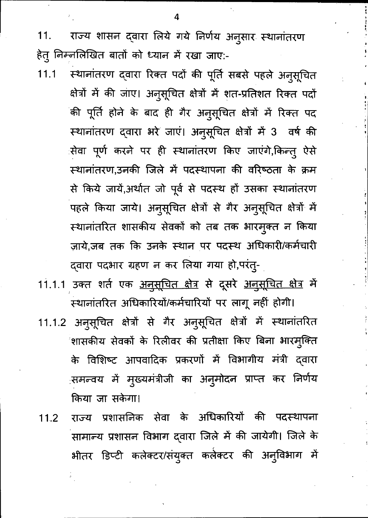राज्य शासन दवारा लिये गये निर्णय अनुसार स्थानांतरण 11. हेतू निम्नलिखित बातों को ध्यान में रखा जाए:-

- $11.1$ स्थानांतरण दवारा रिक्त पदों की पूर्ति सबसे पहले अनुसूचित क्षेत्रों में की जाए। अनुसूचित क्षेत्रों में शत-प्रतिशत रिक्त पदों की पूर्ति होने के बाद ही गैर अनुसूचित क्षेत्रों में रिक्त पद स्थानांतरण दवारा भरे जाएं। अनुसूचित क्षेत्रों में 3 वर्ष की सेवा पूर्ण करने पर ही स्थानांतरण किए जाएंगे,किन्त् ऐसे स्थानांतरण,उनकी जिले में पदस्थापना की वरिष्ठता के क्रम से किये जायें,अर्थात जो पूर्व से पदस्थ हों उसका स्थानांतरण पहले किया जाये। अनुसूचित क्षेत्रों से गैर अनुसूचित क्षेत्रों में स्थानांतरित शासकीय सेवकों को तब तक भारमुक्त न किया ज़ाये,जब तक कि उनके स्थान पर पदस्थ अधिकारी/कर्मचारी दवारा पदभार ग्रहण न कर लिया गया हो,परंतु-
- 11.1.1 उक्त शर्त एक <u>अनुसूचित क्षेत्र</u> से दूसरे <u>अनुसूचित क्षेत्र</u> में स्थानांतरित अधिकारियों/कर्मचारियों पर लागू नहीं होगी।
- 11.1.2 अनुसूचित क्षेत्रों से गैर अनुसूचित क्षेत्रों में स्थानांतरित शासकीय सेवकों के रिलीवर की प्रतीक्षा किए बिना भारमुक्ति के विशिष्ट आपवादिक प्रकरणों में विभागीय मंत्री द्वारा समन्वय में मुख्यमंत्रीजी का अनुमोदन प्राप्त कर निर्णय किया जा सकेगा।
- राज्य प्रशासनिक सेवा के अधिकारियों की पदस्थापना  $11.2$ सामान्य प्रशासन विभाग दवारा जिले में की जायेगी। जिले के भीतर डिप्टी कलेक्टर/संयुक्त कलेक्टर की अनुविभाग में

 $\boldsymbol{\Lambda}$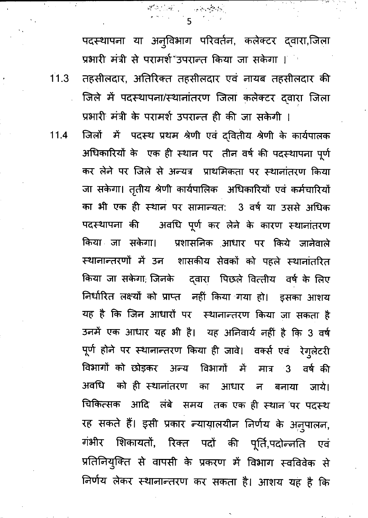पदस्थापना या अनुविभाग परिवर्तन, कलेक्टर द्वारा,जिला प्रभारी मंत्री से परामर्श उपरान्त किया जा सकेगा ।

तहसीलदार, अतिरिक्त तहसीलदार एवं नायब तहसीलदार की  $11.3$ जिले में पदस्थापना/स्थानांतरण जिला कलेक्टर दवारा जिला प्रभारी मंत्री के परामर्श उपरान्त ही की जा सकेगी ।

जिलों में पदस्थ प्रथम श्रेणी एवं द्वितीय श्रेणी के कार्यपालक अधिकारियों के एक ही स्थान पर तीन वर्ष की पदस्थापना पूर्ण कर लेने पर जिले से अन्यत्र प्राथमिकता पर स्थानांतरण किया जा सकेगा। तृतीय श्रेणी कार्यपालिक अधिकारियों एवं कर्मचारियों का भी एक ही स्थान पर सामान्यत: 3 वर्ष या उससे अधिक पदस्थापना की जिवधि पूर्ण कर लेने के कारण स्थानांतरण किया जा सकेगा। प्रशासनिक आधार पर किये जानेवाले स्थानान्तरणों में उन शासकीय सेवकों को पहले स्थानांतरित किया जा सकेगा, जिनके व्ह्वारा पिछले वित्तीय वर्ष के लिए निर्धारित लक्ष्यों को प्राप्त नहीं किया गया हो। इसका आशय यह है कि जिन आधारों पर स्थानान्तरण किया जा सकता है उनमें एक आधार यह भी है। यह अनिवार्य नहीं है कि 3 वर्ष पूर्ण होने पर स्थानान्तरण किया ही जावे। वर्क्स एवं रेगुलेटरी विभागों को छोड़कर अन्य विभागों में मात्र 3 वर्ष की अवधि को ही स्थानांतरण का आधार न बनाया जाये। चिकित्सक आदि लंबे समय तक एक ही स्थान पर पदस्थ रह सकते हैं। इसी प्रकार न्यायालयीन निर्णय के अनुपालन, गंभीर शिकायतों, रिक्त पदों की पूर्ति,पदोन्नति एवं प्रतिनियुक्ति से वापसी के प्रकरण में विभाग स्वविवेक से निर्णय लेकर स्थानान्तरण कर सकता है। आशय यह है कि

 $11.4$ 

 $\overline{A}_{\alpha\beta}$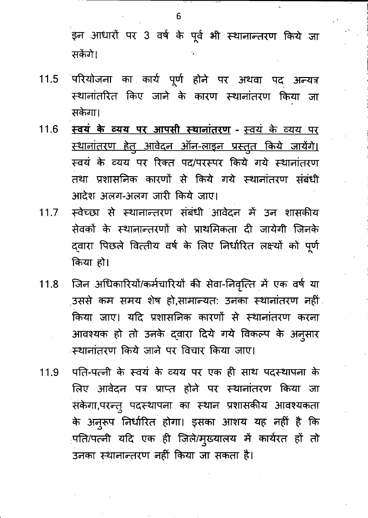इन आधारों पर 3 वर्ष के पूर्व भी स्थानान्तरण किये जा सकेंगे।

- $11.5$ ंपरियोजना का कार्य पूर्ण होने पर अथवा पद अन्यत्र स्थानांतरित किए जाने के कारण स्थानांतरण किया जा सकेगा।
- <u>स्वयं के व्यय पर आपसी स्थानांतरण स्वयं के व्यय पर</u>  $11.6$ <u>स्थानांतरण हेतु आवेदन ऑन-लाइन प्रस्तुत किये जायेंगे।</u> स्वयं के व्यय पर रिक्त पद/परस्पर किये गये स्थानांतरण तथा प्रशासनिक कारणों से किये गये स्थानांतरण संबंधी आदेश अलग-अलग जारी किये जाए।
- ्स्वेच्छा से स्थानान्तरण संबंधी आवेदन में उन शासकीय  $11.7$ सेवकों के स्थानान्तरणों को प्राथमिकता दी जायेगी जिनके द्वारा पिछले वित्तीय वर्ष के लिए निर्धारित लक्ष्यों को पूर्ण किया हो।
- जिन अधिकारियों/कर्मचारियों की सेवा-निवृत्ति में एक वर्ष या  $11.8$ .<br>उससे कम समय शेष हो,सामान्यत: उनका स्थानांतरण नहीं किया जाए। यदि प्रशासनिक कारणों से स्थानांतरण करना आवश्यक हो तो उनके द्वारा दिये गये विकल्प के अनुसार स्थानांतरण किये जाने पर विचार किया जाए।
- पति-पत्नी के स्वयं के व्यय पर एक ही साथ पदस्थापना के 11.9 लिए आवेदन पत्र प्राप्त होने पर स्थानांतरण किया जा संकेगा,परन्तु पदस्थापना का स्थान प्रशासकीय आवश्यकता के अन्*रूप निर्धारित होगा। इसका आशय यह नहीं* है कि पति/पत्नी यदि एक ही जिले/मुख्यालय में कार्यरत हों तो उनका स्थानान्तरण नहीं किया जा सकता है।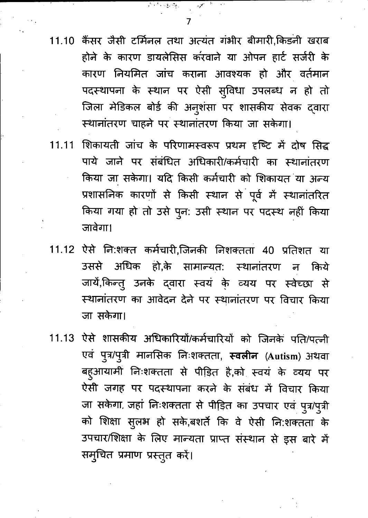$\mathcal{F}^{\mathcal{F}^{\mathcal{F}^{\mathcal{F}^{\mathcal{F}^{\mathcal{F}^{\mathcal{F}^{\mathcal{F}^{\mathcal{F}^{\mathcal{F}^{\mathcal{F}^{\mathcal{F}^{\mathcal{F}^{\mathcal{F}^{\mathcal{F}^{\mathcal{F}^{\mathcal{F}^{\mathcal{F}^{\mathcal{F}^{\mathcal{F}^{\mathcal{F}^{\mathcal{F}^{\mathcal{F}^{\mathcal{F}^{\mathcal{F}^{\mathcal{F}^{\mathcal{F}^{\mathcal{F}^{\mathcal{F}^{\mathcal{F}^{\mathcal{F}^{\mathcal$ 

不是一定的

- 11.10 कैंसर जैसी टर्मिनल तथा अत्यंत गंभीर बीमारी,किड़नी खराब होने के कारण डायलेसिस करवाने या ओपन हार्ट सर्जरी के कारण नियमित जांच कराना आवश्यक हो और वर्तमान पदस्थापना के स्थान पर ऐसी सुविधा उपलब्ध न हो तो जिला मेडिकल बोर्ड की अनुशंसा पर शासकीय सेवक द्वारा स्थानांतरण चाहने पर स्थानांतरण किया जा सकेगा।
- शिकायती जांच के परिणामस्वरूप प्रथम दृष्टि में दोष सिद्ध 11.11 पाये जाने पर संबंधित अधिकारी/कर्मचारी का स्थानांतरण किया जा सकेगा। यदि किसी कर्मचारी को शिकायत या अन्य प्रशासनिक कारणों से किसी स्थान से पूर्व में स्थानांतरित किया गया हो तो उसे पुन: उसी स्थान पर पदस्थ नहीं किया जावेगा।
- 11.12 ऐसे नि:शक्त कर्मचारी,जिनकी निशक्तता 40 प्रतिशत या उससे अधिक हो,के सामान्यत: स्थानांतरण न किये जायें,किन्तु उनके दवारा स्वयं के व्यय पर स्वेच्छा से स्थानांतरण का आवेदन देने पर स्थानांतरण पर विचार किया जा सकेगा।
- 11.13 ऐसे शासकीय अधिकारियों/कर्मचारियों को जिनके पति/पत्नी एवं पुत्र/पुत्री मानसिक निःशक्तता, **स्वलीन** (Autism) अथवा बहुआयामी निःशक्तता से पीड़ित है,को स्वयं के व्यय पर ऐसी जगह पर पदस्थापना करने के संबंध में विचार किया जा सकेगा, जहां निःशक्तता से पीड़ित का उपचार एवं पुत्र/पुत्री को शिक्षा सुलभ हो सके,बशर्ते कि वे ऐसी नि:शक्तता के उपचार/शिक्षा के लिए मान्यता प्राप्त संस्थान से इस बारे में सम्चित प्रमाण प्रस्तुत करें।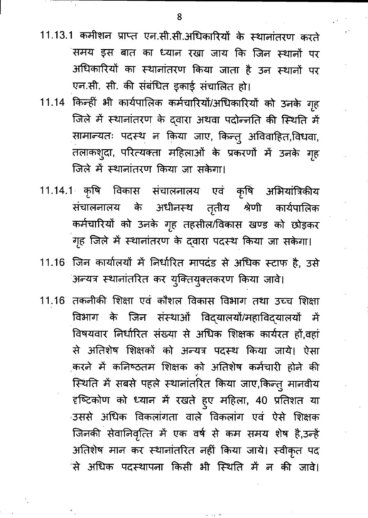- 11.13.1 कमीशन प्राप्त एन.सी.सी.अधिकारियों के स्थानांतरण करते समय इस बात का ध्यान रखा जाय कि जिन स्थानों पर अधिकारियों का स्थानांतरण किया जाता है उन स्थानों पर एन.सी. सी. की संबंधित इकाई संचालित हो।
- 11.14 किन्हीं भी कार्यपालिक कर्मचारियों/अधिकारियों को उनके गृह जिले में स्थानांतरण के दवारा अथवा पदोन्नति की स्थिति में सामान्यतः पदस्थ न किया जाए, किन्तु अविवाहित,विधवा, तलाकशुदा, परित्यक्ता महिलाओं के प्रकरणों में उनके गृह जिले में स्थानांतरण किया जा सकेगा।
- 11.14.1 कृषि विकास संचालनालय एवं कृषि अभियांत्रिकीय संचालनालय के अधीनस्थ तृतीय श्रेणी कार्यपालिक कर्मचारियों को उनके गृह तहसील/विकास खण्ड को छोड़कर गृह जिले में स्थानांतरण के दवारा पदस्थ किया जा सकेगा।
- 11.16 जिन कार्यालयों में निर्धारित मापदंड से अधिक स्टाफ है, उसे अन्यत्र स्थानांतरित कर युक्तियुक्तकरण किया जावे।
- 11.16 तकनीकी शिक्षा एवं कौशल विकास विभाग तथा उच्च शिक्षा विभाग के जिन संस्थाओं विद्यालयों/महाविद्यालयों में विषयवार निर्धारित संख्या से अधिक शिक्षक कार्यरत हों,वहां से अतिशेष शिक्षकों को अन्यत्र पदस्थ किया जाये। ऐसा करने में कनिष्ठतम शिक्षक को अतिशेष कर्मचारी होने की स्थिति में सबसे पहले स्थानांतरित किया जाए,किन्तु मानवीय दृष्टिकोण को ध्यान में रखते हुए महिला, 40 प्रतिशत या उससे अधिक विकलांगता वाले विकलांग एवं ऐसे शिक्षक जिनकी सेवानिवृत्ति में एक वर्ष से कम समय शेष है,उन्हें अतिशेष मान कर स्थानांतरित नहीं किया जाये। स्वीकृत पद 'से अधिक पदस्थापना किसी भी स्थिति में न की जावे।

 $\sim 10^{-10}$ 

 $\begin{array}{c} \mathbf{a} \\ \mathbf{b} \end{array}$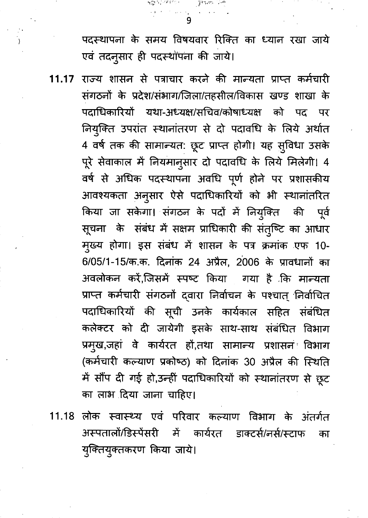पदस्थापना के समय विषयवार रिक्ति का ध्यान रखा जाये एवं तदनुसार ही पदस्थोंपना की जाये।

n Grand (1994)<br>1990 - Johann Stein, politik fransk forsk

9

 $\overline{\ }$ 

- राज्य शासन से पत्राचार करने की मान्यता प्राप्त कर्मचारी 11.17 संगठनों के प्रदेश/संभाग/जिला/तहसील/विकास खण्ड शाखा के पदाधिकारियों यथा-अध्यक्ष/सचिव/कोषाध्यक्ष को पद पर नियुक्ति उपरांत स्थानांतरण से दो पदावधि के लिये अर्थात 4 वर्ष तक की सामान्यत: छूट प्राप्त होगी। यह सुविधा उसके पूरे सेवाकाल में नियमानुसार दो पदावधि के लिये मिलेगी। 4 वर्ष से अधिक पदस्थापना अवधि पूर्ण होने पर प्रशासकीय आवश्यकता अनुसार ऐसे पदाधिकारियों को भी स्थानांतरित किया जा सकेगा। संगठन के पदों में नियुक्ति की पूर्व सूचना के संबंध में सक्षम प्राधिकारी की संतुष्टि का आधार मुख्य होगा। इस संबंध में शासन के पत्र क्रमांक एफ 10-6/05/1-15/क.क. दिनांक 24 अप्रैल, 2006 के प्रावधानों का अवलोकन करें,जिसमें स्पष्ट किया गया है कि मान्यता प्राप्त कर्मचारी संगठनों द्वारा निर्वाचन के पश्चात् निर्वाचित पदाधिकारियों की सूची उनके कार्यकाल सहित संबंधित कलेक्टर को दी जायेगी इसके साथ-साथ संबंधित विभाग प्रमुख,जहां वे कार्यरत हों,तथा सामान्य प्रशासन विभाग (कर्मचारी कल्याण प्रकोष्ठ) को दिनांक 30 अप्रैल की स्थिति में सौंप दी गई हो,उन्हीं पदाधिकारियों को स्थानांतरण से छूट का लाभ दिया जाना चाहिए।
- 11.18 लोक स्वास्थ्य एवं परिवार कल्याण विभाग के अंतर्गत अस्पतालों/डिस्पेंसरी में कार्यरत डाक्टर्स/नर्स/स्टाफ का युक्तियुक्तकरण किया जाये।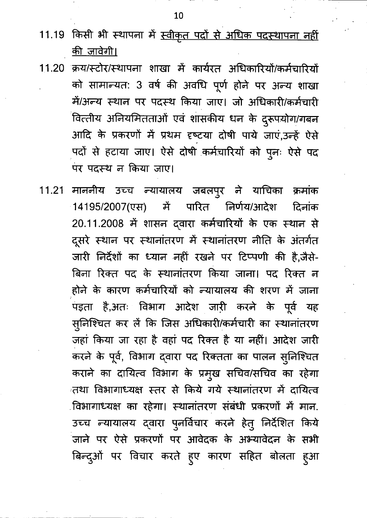- 11.19 किसी भी स्थापना में <u>स्वीकृत पदों से अधिक पदस्थापना नहीं</u> <u>की जावेगी।</u>
- 11.20 क्रय/स्टोर/स्थापना शाखा में कार्यरत अधिकारियों/कर्मचारियों को सामान्यत: 3 वर्ष की अवधि पूर्ण होने पर अन्य शाखा में/अन्य स्थान पर पदस्थ किया जाए। जो अधिकारी/कर्मचारी वित्तीय अनियमितताओं एवं शासकीय धन के दुरूपयोग/गबन आदि के प्रकरणों में प्रथम दृष्टया दोषी पाये जाएं,उन्हें ऐसे पदों से हटाया जाए। ऐसे दोषी कर्मचारियों को पुनः ऐसे पद पर पदस्थ न किया जाए।
- 11.21 माननीय उच्च न्यायालय जबलपुर ने याचिका क्रमांक में पारित निर्णय/आदेश दिनांक 14195/2007(एस) 20.11.2008 में शासन दवारा कर्मचारियों के एक स्थान से दूसरे स्थान पर स्थानांतरण में स्थानांतरण नीति के अंतर्गत जारी निर्देशों का ध्यान नहीं रखने पर टिप्पणी की है,जैसे-बिना रिक्त पद के स्थानांतरण किया जाना। पद रिक्त न होने के कारण कर्मचारियों को न्यायालय की शरण में जाना पड़ता है,अतः विभाग आदेश जारी करने के पूर्व यह स्लिश्चित कर लें कि जिस अधिकारी/कर्मचारी का स्थानांतरण जहां किया जा रहा है वहां पद रिक्त है या नहीं। आदेश जारी करने के पूर्व, विभाग द्वारा पद रिक्तता का पालन सुनिश्चित कराने का दायित्व विभाग के प्रमुख सचिव/सचिव का रहेगा तथा विभागाध्यक्ष स्तर से किये गये स्थानांतरण में दायित्व विभागाध्यक्ष का रहेगा। स्थानांतरण संबंधी प्रकरणों में मान. उच्च न्यायालय द्वारा पुनर्विचार करने हेतु निर्देशित किये जाने पर ऐसे प्रकरणों पर आवेदक के अभ्यावेदन के सभी बिन्दुओं पर विचार करते हुए कारण सहित बोलता हुआ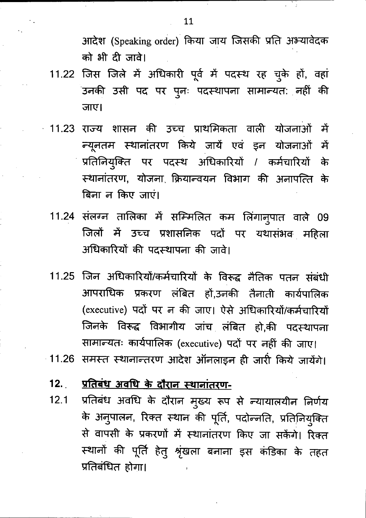आदेश (Speaking order) किया जाय जिसकी प्रति अभ्यावेदक को भी दी जावे।

- 11.22 जिस जिले में अधिकारी पूर्व में पदस्थ रह चुके हों, वहां उनकी उसी पद पर पुनः पदस्थापना सामान्यत: नहीं की जाए।
- 11.23 राज्य शासन की उच्च प्राथमिकता वाली योजनाओं में न्यूनतम स्थानांतरण किये जायें एवं इन योजनाओं में प्रतिनियुक्ति पर पदस्थ अधिकारियों / कर्मचारियों के स्थानांतरण, योजना क्रियान्वयन विभाग की अनापत्ति के बिना न किए जाएं।
	- 11.24 संलग्न तालिका में सम्मिलित कम लिंगानुपात वाले 09 जिलों में उच्च प्रशासनिक पदों पर यथासंभव महिला अधिकारियों की पदस्थापना की जावे।
	- जिन अधिकारियों/कर्मचारियों के विरूद्ध नैतिक पतन संबंधी 11.25 आपराधिक प्रकरण लंबित हों,उनकी तैनाती कार्यपालिक (executive) पदों पर न की जाए। ऐसे अधिकारियों/कर्मचारियों जिनके विरूद्ध विभागीय जांच लंबित हो,की पदस्थापना सामान्यतः कार्यपालिक (executive) पदों पर नहीं की जाए।
- 11.26 समस्त स्थानान्तरण आदेश ऑनलाइन ही जारी किये जायेंगे।
	- प्रतिबंध अवधि के दौरान स्थानांतरण- $12.$
	- प्रतिबंध अवधि के दौरान मुख्य रूप से न्यायालयीन निर्णय  $12.1$ के अनुपालन, रिक्त स्थान की पूर्ति, पदोन्नति, प्रतिनियुक्ति से वापसी के प्रकरणों में स्थानांतरण किए जा सकेंगे। रिक्त स्थानों की पूर्ति हेतु श्रृंखला बनाना इस कंडिका के तहत प्रतिबंधित होगा।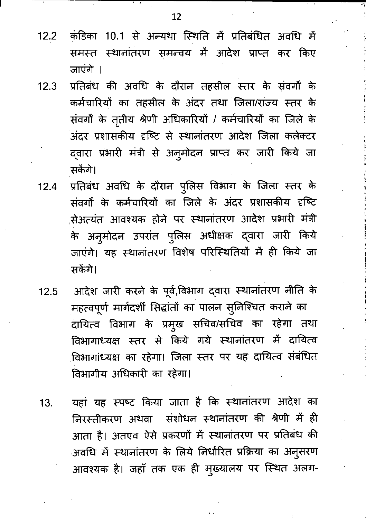- कंडिका 10.1 से अन्यथा स्थिति में प्रतिबंधित अवधि में  $12.2$ समस्त स्थानांतरण समन्वय में आदेश प्राप्त कर किए जाएंगे ।
- प्रतिबंध की अवधि के दौरान तहसील स्तर के संवर्गों के  $12.3$ कर्मचारियों का तहसील के अंदर तथा जिला/राज्य स्तर के संवर्गों के तृतीय श्रेणी अधिकारियों / कर्मचारियों का जिले के अंदर प्रशासकीय दृष्टि से स्थानांतरण आदेश जिला कलेक्टर द्वारा प्रभारी मंत्री से अनुमोदन प्राप्त कर जारी किये जा सकेंगे।
- प्रतिबंध अवधि के दौरान पुलिस विभाग के जिला स्तर के  $12.4$ संवर्गों के कर्मचारियों का जिले के अंदर प्रशासकीय दृष्टि सेअत्यंत आवश्यक होने पर स्थानांतरण आदेश प्रभारी मंत्री के अनुमोदन उपरांत पुलिस अधीक्षक द्वारा जारी किये जाएंगे। यह स्थानांतरण विशेष परिस्थितियों में ही किये जा सकेंगे।
- आदेश जारी करने के पूर्व,विभाग द्वारा स्थानांतरण नीति के  $12.5$ महत्वपूर्ण मार्गदर्शी सिद्धांतों का पालन सुनिश्चित कराने का दायित्व विभाग के प्रमुख सचिव/सचिव का रहेगा तथा विभागाध्यक्ष स्तर से किये गये स्थानांतरण में दायित्व विभागांध्यक्ष का रहेगा। जिला स्तर पर यह दायित्व संबंधित विभागीय अधिकारी का रहेगा।
- यहां यह स्पष्ट किया जाता है कि स्थानांतरण आदेश का 13. निरस्तीकरण अथवा संशोधन स्थानांतरण की श्रेणी में ही आता है। अतएव ऐसे प्रकरणों में स्थानांतरण पर प्रतिबंध की अवधि में स्थानांतरण के लिये निर्धारित प्रक्रिया का अनुसरण आवश्यक है। जहाँ तक एक ही मुख्यालय पर स्थित अलग-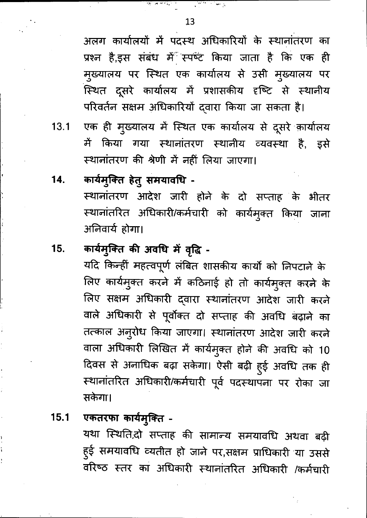अलग कार्यालयों में पदस्थ अधिकारियों के स्थानांतरण का प्रश्न है,इस संबंध में स्पष्ट किया जाता है कि एक ही मुख्यालय पर स्थित एक कार्यालय से उसी मुख्यालय पर स्थित दूसरे कार्यालय में प्रशासकीय दृष्टि से स्थानीय परिवर्तन सक्षम अधिकारियों द्वारा किया जा सकता है।

- एक ही मुख्यालय में स्थित एक कार्यालय से दूसरे कार्यालय  $13.1$ में किया गया स्थानांतरण स्थानीय व्यवस्था है, इसे स्थानांतरण की श्रेणी में नहीं लिया जाएगा।
- कार्यमुक्ति हेतु समयावधि -14. स्थानांतरण आदेश जारी होने के दो सप्ताह के भीतर स्थानांतरित अधिकारी/कर्मचारी को कार्यमुक्त किया जाना अनिवार्य होगा।

#### कार्यमुक्ति की अवधि में वृद्धि -15.

यदि किन्हीं महत्वपूर्ण लंबित शासकीय कार्यो को निपटाने के लिए कार्यमुक्त करने में कठिनाई हो तो कार्यमुक्त करने के लिए सक्षम अधिकारी द्वारा स्थानांतरण आदेश जारी करने वाले अधिकारी से पूर्वोक्त दो सप्ताह की अवधि बढ़ाने का तत्काल अनुरोध किया जाएगा। स्थानांतरण आदेश जारी करने वाला अधिकारी लिखित में कार्यमुक्त होने की अवधि को 10 दिवस से अनाधिक बढ़ा सकेगा। ऐसी बढ़ी हुई अवधि तक ही स्थानांतरित अधिकारी/कर्मचारी पूर्व पदस्थापना पर रोका जा सकेगा।

#### एकतरफा कार्यमुक्ति - $15.1$

यथा स्थिति,दो सप्ताह की सामान्य समयावधि अथवा बढ़ी हुई समयावधि व्यतीत हो जाने पर,सक्षम प्राधिकारी या उससे वरिष्ठ स्तर का अधिकारी स्थानांतरित अधिकारी /कर्मचारी

الأسبول ورزان المراكب المستوفية المحافظة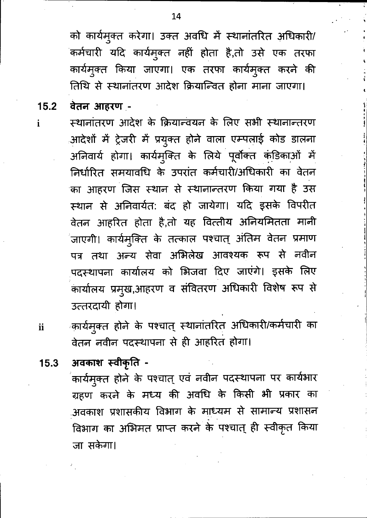को कार्यमुक्त करेगा। उक्त अवधि में स्थानांतरित अधिकारी/ कर्मचारी यदि कार्यमुक्त नहीं होता है,तो उसे एक तरफा कार्यमुक्त किया जाएगा। एक तरफा कार्यमुक्त करने की तिथि से स्थानांतरण आदेश क्रियान्वित होना माना जाएगा।

वेतन आहरण - $15.2$ 

 $\mathbf{i}$ 

स्थानांतरण आदेश के क्रियान्वयन के लिए सभी स्थानान्तरण आदेशों में ट्रेजरी में प्रयुक्त होने वाला एम्पलाई कोड डालना अनिवार्य होगा। कार्यमुक्ति के लिये पूर्वोक्त कंडिकाओं में निर्धारित समयावधि के उपरांत कर्मचारी/अधिकारी का वेतन का आहरण जिस स्थान से स्थानान्तरण किया गया है उस स्थान से अनिवार्यत: बंद हो जायेगा। यदि इसके विपरीत वेतन आहरित होता है,तो यह वित्तीय अनियमितता मानी जाएगी। कार्यमुक्ति के तत्काल पश्चात् अंतिम वेतन प्रमाण पत्र तथा अन्य सेवा अभिलेख आवश्यक रूप से नवीन पदस्थापना कार्यालय को भिजवा दिए जाएंगे। इसके लिए कार्यालय प्रमुख,आहरण व संवितरण अधिकारी विशेष रूप से उत्तरदायी होगा।

- कार्यमुक्त होने के पश्चात् स्थानांतरित अधिकारी/कर्मचारी का ii वेतन नवीन पदस्थापना से ही आहरित होगा।
- अवकाश स्वीकृति - $15.3$ कार्यमुक्त होने के पश्चात् एवं नवीन पदस्थापना पर कार्यभार ग्रहण करने के मध्य की अवधि के किसी भी प्रकार का अवकाश प्रशासकीय विभाग के माध्यम से सामान्य प्रशासन विभाग का अभिमत प्राप्त करने के पश्चात् ही स्वीकृत किया जा सकेगा।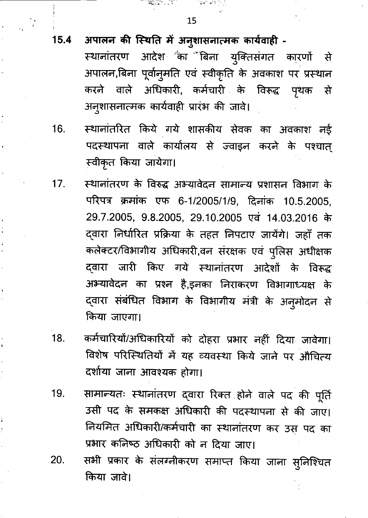RATH PLANT COMPANY

 $15.4$ 

 $\frac{1}{2}$ 

अपालन की स्थिति में अनुशासनात्मक कार्यवाही -

आदेश <sup>''</sup>का <sup>'\*</sup>बिना युक्तिसंगत कारणों से स्थानांतरण अपालन,बिना पूर्वानुमति एवं स्वीकृति के अवकाश पर प्रस्थान करने वाले अधिकारी, कर्मचारी के विरूद्ध पृथक ्से अनुशासनात्मक कार्यवाही प्रारंभ की जावे।

- स्थानांतरित किये गये शासकीय सेवक का अवकाश नई 16. पदस्थापना वाले कार्यालय से ज्वाइन करने के पश्चात् स्वीकृत किया जायेगा।
- स्थानांतरण के विरुद्ध अभ्यावेदन सामान्य प्रशासन विभाग के  $17.$ परिपत्र क्रमांक एफ 6-1/2005/1/9, दिनांक 10.5.2005, 29.7.2005, 9.8.2005, 29.10.2005 एवं 14.03.2016 के द्वारा निर्धारित प्रक्रिया के तहत निपटाए जायेंगे। जहाँ तक कलेक्टर/विभागीय अधिकारी,वन संरक्षक एवं पुलिस अधीक्षक दवारा जारी किए गये स्थानांतरण आदेशों के विरूद्ध अभ्यावेदन का प्रश्न है,इनका निराकरण विभागाध्यक्ष के द्वारा संबंधित विभाग के विभागीय मंत्री के अनुमोदन से किया जाएगा।
- 18. कर्मचारियों/अधिकारियों को दोहरा प्रभार नहीं दिया जावेगा। विशेष परिस्थितियों में यह व्यवस्था किये जाने पर औचित्य दर्शाया जाना आवश्यक होगा।
- सामान्यतः स्थानांतरण दवारा रिक्त होने वाले पद की पूर्ति 19. उसी पद के समकक्ष अधिकारी की पदस्थापना से की जाए। नियमित अधिकारी/कर्मचारी का स्थानांतरण कर उस पद का प्रभार कनिष्ठ अधिकारी को न दिया जाए।
- सभी प्रकार के संलग्नीकरण समाप्त किया जाना सुनिश्चित 20. किया जावे।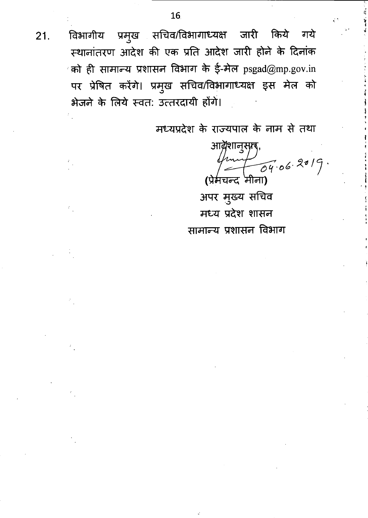विभागीय प्रमुख सचिव/विभागाध्यक्ष जारी किये गये स्थानांतरण आदेश की एक प्रति आदेश जारी होने के दिनांक को ही सामान्य प्रशासन विभाग के ई-मेल  $psgad@mp.gov.in$ पर प्रेषित करेंगे। प्रमुख सचिव/विभागाध्यक्ष इस मेल को भेजने के लिये स्वत: उत्तरदायी होंगे।

मध्यप्रदेश के राज्यपाल के नाम से तथा

आव्रैशानुसृाद,  $\frac{11}{04.06.2019}$ . (प्रेमचन्द मीना)

अपर मुख्य सचिव मध्य प्रदेश शासन सामान्य प्रशासन विभाग

 $21.$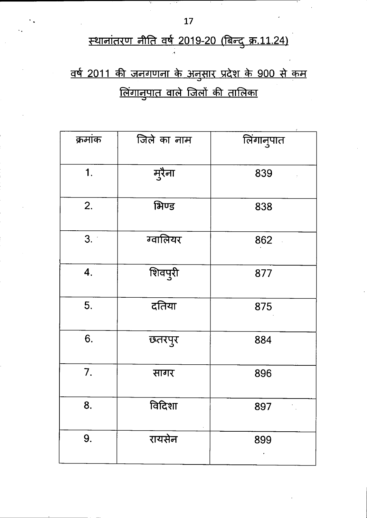# स्थानांतरण नीति वर्ष 2019-20 (बिन्दु क्र.11.24)

# <u>वर्ष 2011 की जनगणना के अनुसार प्रदेश के 900 से कम</u> <u>लिंगानुपात वाले जिलों की तालिका</u>

| क्रमांक | जिले का नाम | लिंगानुपात                 |
|---------|-------------|----------------------------|
| 1.      | मुरैना      | 839                        |
| 2.      | भिण्ड       | 838                        |
| 3.      | ग्वालियर    | 862                        |
| 4.      | शिवपुरी     | 877                        |
| 5.      | दतिया       | 875                        |
| 6.      | छतरपुर      | 884                        |
| 7.      | सागर        | 896                        |
| 8.      | विदिशा      | 897<br>$\hat{\mathcal{F}}$ |
| 9.      | रायसेन      | 899                        |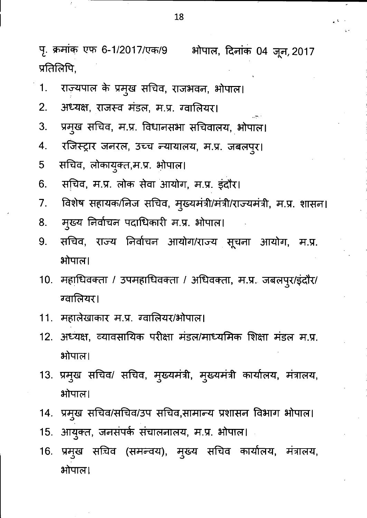पृ. क्रमांक एफ 6-1/2017/एक/9 भोपाल, दिनांक 04 जून, 2017 प्रतिलिपि,

- राज्यपाल के प्रमुख सचिव, राजभवन, भोपाल। 1.
- अध्यक्ष, राजस्व मंडल, म.प्र. ग्वालियर। 2.
- प्रमुख सचिव, म.प्र. विधानसभा सचिवालय, भोपाल। 3.
- रजिस्ट्रार जनरल, उच्च न्यायालय, म.प्र. जबलपुर। 4.
- सचिव, लोकायुक्त,म.प्र. भोपाल। 5
- सचिव, म.प्र. लोक सेवा आयोग, म.प्र. इंदौर। 6.
- विशेष सहायक/निज सचिव, मुख्यमंत्री/मंत्री/राज्यमंत्री, म.प्र. शासन। 7.
- मुख्य निर्वाचन पदाधिकारी म.प्र. भोपाल। 8.
- सचिव, राज्य निर्वाचन आयोग/राज्य सूचना आयोग, म.प्र. 9. भोपाल।
- 10. महाधिवक्ता / उपमहाधिवक्ता / अधिवक्ता, म.प्र. जबलपुर/इंदौर/ ग्वालियर।
- 11. महालेखाकार म.प्र. ग्वालियर/भोपाल।
- 12. अध्यक्ष, व्यावसायिक परीक्षा मंडल/माध्यमिक शिक्षा मंडल म.प्र. भोपाल।
- 13. प्रमुख सचिव/ सचिव, मुख्यमंत्री, मुख्यमंत्री कार्यालय, मंत्रालय, भोपाल।
- 14. प्रमुख सचिव/सचिव/उप सचिव,सामान्य प्रशासन विभाग भोपाल।
- आयुक्त, जनसंपर्क संचालनालय, म.प्र. भोपाल।  $15.$
- 16. प्रमुख सचिव (समन्वय), मुख्य सचिव कार्यालय, मंत्रालय, भोपाल।